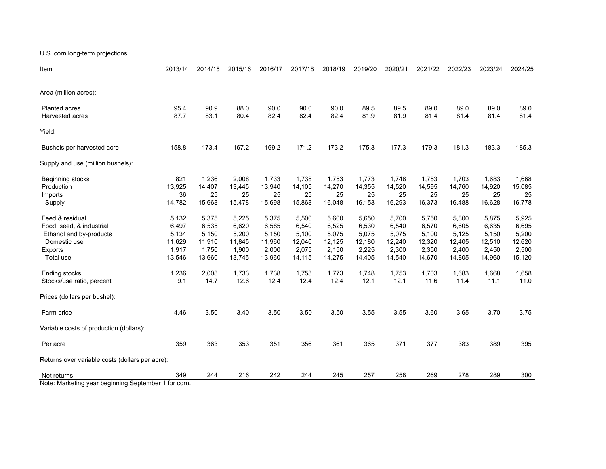U.S. corn long-term projections

| Item                                                               | 2013/14 | 2014/15 | 2015/16 | 2016/17 | 2017/18 | 2018/19 | 2019/20 | 2020/21 | 2021/22 | 2022/23 | 2023/24 | 2024/25 |
|--------------------------------------------------------------------|---------|---------|---------|---------|---------|---------|---------|---------|---------|---------|---------|---------|
|                                                                    |         |         |         |         |         |         |         |         |         |         |         |         |
| Area (million acres):                                              |         |         |         |         |         |         |         |         |         |         |         |         |
| <b>Planted acres</b>                                               | 95.4    | 90.9    | 88.0    | 90.0    | 90.0    | 90.0    | 89.5    | 89.5    | 89.0    | 89.0    | 89.0    | 89.0    |
| Harvested acres                                                    | 87.7    | 83.1    | 80.4    | 82.4    | 82.4    | 82.4    | 81.9    | 81.9    | 81.4    | 81.4    | 81.4    | 81.4    |
| Yield:                                                             |         |         |         |         |         |         |         |         |         |         |         |         |
| Bushels per harvested acre                                         | 158.8   | 173.4   | 167.2   | 169.2   | 171.2   | 173.2   | 175.3   | 177.3   | 179.3   | 181.3   | 183.3   | 185.3   |
| Supply and use (million bushels):                                  |         |         |         |         |         |         |         |         |         |         |         |         |
| Beginning stocks                                                   | 821     | 1,236   | 2,008   | 1,733   | 1,738   | 1,753   | 1,773   | 1,748   | 1,753   | 1,703   | 1,683   | 1,668   |
| Production                                                         | 13,925  | 14,407  | 13,445  | 13,940  | 14,105  | 14,270  | 14,355  | 14,520  | 14,595  | 14,760  | 14,920  | 15,085  |
| Imports                                                            | 36      | 25      | 25      | 25      | 25      | 25      | 25      | 25      | 25      | 25      | 25      | 25      |
| Supply                                                             | 14,782  | 15,668  | 15,478  | 15,698  | 15,868  | 16,048  | 16,153  | 16,293  | 16,373  | 16,488  | 16,628  | 16,778  |
| Feed & residual                                                    | 5,132   | 5,375   | 5,225   | 5,375   | 5,500   | 5,600   | 5,650   | 5,700   | 5,750   | 5,800   | 5,875   | 5,925   |
| Food, seed, & industrial                                           | 6,497   | 6,535   | 6,620   | 6,585   | 6,540   | 6,525   | 6,530   | 6,540   | 6,570   | 6,605   | 6,635   | 6,695   |
| Ethanol and by-products                                            | 5,134   | 5,150   | 5,200   | 5,150   | 5,100   | 5,075   | 5,075   | 5,075   | 5,100   | 5,125   | 5,150   | 5,200   |
| Domestic use                                                       | 11,629  | 11,910  | 11,845  | 11,960  | 12,040  | 12,125  | 12,180  | 12,240  | 12,320  | 12,405  | 12,510  | 12,620  |
| Exports                                                            | 1,917   | 1,750   | 1,900   | 2,000   | 2,075   | 2,150   | 2,225   | 2,300   | 2,350   | 2,400   | 2,450   | 2,500   |
| Total use                                                          | 13,546  | 13,660  | 13,745  | 13,960  | 14,115  | 14,275  | 14,405  | 14,540  | 14,670  | 14,805  | 14,960  | 15,120  |
| Ending stocks                                                      | 1,236   | 2,008   | 1,733   | 1,738   | 1,753   | 1,773   | 1,748   | 1,753   | 1,703   | 1,683   | 1,668   | 1,658   |
| Stocks/use ratio, percent                                          | 9.1     | 14.7    | 12.6    | 12.4    | 12.4    | 12.4    | 12.1    | 12.1    | 11.6    | 11.4    | 11.1    | 11.0    |
| Prices (dollars per bushel):                                       |         |         |         |         |         |         |         |         |         |         |         |         |
| Farm price                                                         | 4.46    | 3.50    | 3.40    | 3.50    | 3.50    | 3.50    | 3.55    | 3.55    | 3.60    | 3.65    | 3.70    | 3.75    |
| Variable costs of production (dollars):                            |         |         |         |         |         |         |         |         |         |         |         |         |
| Per acre                                                           | 359     | 363     | 353     | 351     | 356     | 361     | 365     | 371     | 377     | 383     | 389     | 395     |
| Returns over variable costs (dollars per acre):                    |         |         |         |         |         |         |         |         |         |         |         |         |
| Net returns<br>Note: Marketing voor boginning Contempor 1 for earn | 349     | 244     | 216     | 242     | 244     | 245     | 257     | 258     | 269     | 278     | 289     | 300     |

Note: Marketing year beginning September 1 for corn.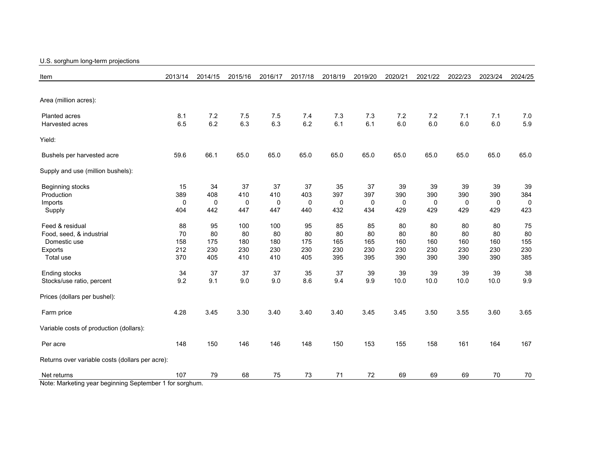## U.S. sorghum long-term projections

| Item                                                    | 2013/14 | 2014/15 | 2015/16 | 2016/17 | 2017/18 | 2018/19 | 2019/20 | 2020/21 | 2021/22     | 2022/23 | 2023/24 | 2024/25 |
|---------------------------------------------------------|---------|---------|---------|---------|---------|---------|---------|---------|-------------|---------|---------|---------|
|                                                         |         |         |         |         |         |         |         |         |             |         |         |         |
| Area (million acres):                                   |         |         |         |         |         |         |         |         |             |         |         |         |
| Planted acres                                           | 8.1     | 7.2     | 7.5     | 7.5     | 7.4     | 7.3     | 7.3     | 7.2     | 7.2         | 7.1     | 7.1     | 7.0     |
| Harvested acres                                         | 6.5     | 6.2     | 6.3     | 6.3     | 6.2     | 6.1     | 6.1     | 6.0     | 6.0         | 6.0     | 6.0     | 5.9     |
| Yield:                                                  |         |         |         |         |         |         |         |         |             |         |         |         |
| Bushels per harvested acre                              | 59.6    | 66.1    | 65.0    | 65.0    | 65.0    | 65.0    | 65.0    | 65.0    | 65.0        | 65.0    | 65.0    | 65.0    |
| Supply and use (million bushels):                       |         |         |         |         |         |         |         |         |             |         |         |         |
| Beginning stocks                                        | 15      | 34      | 37      | 37      | 37      | 35      | 37      | 39      | 39          | 39      | 39      | 39      |
| Production                                              | 389     | 408     | 410     | 410     | 403     | 397     | 397     | 390     | 390         | 390     | 390     | 384     |
| Imports                                                 | 0       | 0       | 0       | 0       | 0       | 0       | 0       | 0       | $\mathbf 0$ | 0       | 0       | 0       |
| Supply                                                  | 404     | 442     | 447     | 447     | 440     | 432     | 434     | 429     | 429         | 429     | 429     | 423     |
| Feed & residual                                         | 88      | 95      | 100     | 100     | 95      | 85      | 85      | 80      | 80          | 80      | 80      | 75      |
| Food, seed, & industrial                                | 70      | 80      | 80      | 80      | 80      | 80      | 80      | 80      | 80          | 80      | 80      | 80      |
| Domestic use                                            | 158     | 175     | 180     | 180     | 175     | 165     | 165     | 160     | 160         | 160     | 160     | 155     |
| <b>Exports</b>                                          | 212     | 230     | 230     | 230     | 230     | 230     | 230     | 230     | 230         | 230     | 230     | 230     |
| Total use                                               | 370     | 405     | 410     | 410     | 405     | 395     | 395     | 390     | 390         | 390     | 390     | 385     |
| Ending stocks                                           | 34      | 37      | 37      | 37      | 35      | 37      | 39      | 39      | 39          | 39      | 39      | 38      |
| Stocks/use ratio, percent                               | 9.2     | 9.1     | 9.0     | 9.0     | 8.6     | 9.4     | 9.9     | 10.0    | 10.0        | 10.0    | 10.0    | 9.9     |
| Prices (dollars per bushel):                            |         |         |         |         |         |         |         |         |             |         |         |         |
| Farm price                                              | 4.28    | 3.45    | 3.30    | 3.40    | 3.40    | 3.40    | 3.45    | 3.45    | 3.50        | 3.55    | 3.60    | 3.65    |
| Variable costs of production (dollars):                 |         |         |         |         |         |         |         |         |             |         |         |         |
| Per acre                                                | 148     | 150     | 146     | 146     | 148     | 150     | 153     | 155     | 158         | 161     | 164     | 167     |
| Returns over variable costs (dollars per acre):         |         |         |         |         |         |         |         |         |             |         |         |         |
| Net returns                                             | 107     | 79      | 68      | 75      | 73      | 71      | 72      | 69      | 69          | 69      | 70      | 70      |
| Note: Marketing year beginning September 1 for sorghum. |         |         |         |         |         |         |         |         |             |         |         |         |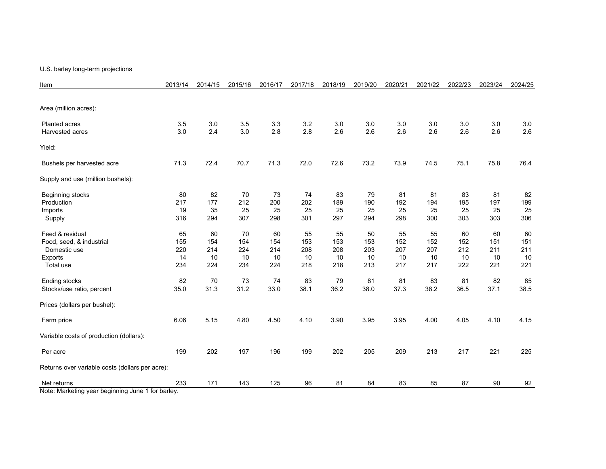## U.S. barley long-term projections

| Item                                              | 2013/14 | 2014/15 | 2015/16 | 2016/17 | 2017/18 | 2018/19 | 2019/20 | 2020/21 | 2021/22 | 2022/23 | 2023/24 | 2024/25 |
|---------------------------------------------------|---------|---------|---------|---------|---------|---------|---------|---------|---------|---------|---------|---------|
|                                                   |         |         |         |         |         |         |         |         |         |         |         |         |
| Area (million acres):                             |         |         |         |         |         |         |         |         |         |         |         |         |
| <b>Planted acres</b>                              | 3.5     | 3.0     | 3.5     | 3.3     | 3.2     | 3.0     | 3.0     | 3.0     | 3.0     | 3.0     | 3.0     | 3.0     |
| Harvested acres                                   | 3.0     | 2.4     | 3.0     | 2.8     | 2.8     | 2.6     | 2.6     | 2.6     | 2.6     | 2.6     | 2.6     | 2.6     |
| Yield:                                            |         |         |         |         |         |         |         |         |         |         |         |         |
| Bushels per harvested acre                        | 71.3    | 72.4    | 70.7    | 71.3    | 72.0    | 72.6    | 73.2    | 73.9    | 74.5    | 75.1    | 75.8    | 76.4    |
| Supply and use (million bushels):                 |         |         |         |         |         |         |         |         |         |         |         |         |
| Beginning stocks                                  | 80      | 82      | 70      | 73      | 74      | 83      | 79      | 81      | 81      | 83      | 81      | 82      |
| Production                                        | 217     | 177     | 212     | 200     | 202     | 189     | 190     | 192     | 194     | 195     | 197     | 199     |
| Imports                                           | 19      | 35      | 25      | 25      | 25      | 25      | 25      | 25      | 25      | 25      | 25      | 25      |
| Supply                                            | 316     | 294     | 307     | 298     | 301     | 297     | 294     | 298     | 300     | 303     | 303     | 306     |
| Feed & residual                                   | 65      | 60      | 70      | 60      | 55      | 55      | 50      | 55      | 55      | 60      | 60      | 60      |
| Food, seed, & industrial                          | 155     | 154     | 154     | 154     | 153     | 153     | 153     | 152     | 152     | 152     | 151     | 151     |
| Domestic use                                      | 220     | 214     | 224     | 214     | 208     | 208     | 203     | 207     | 207     | 212     | 211     | 211     |
| <b>Exports</b>                                    | 14      | 10      | 10      | 10      | 10      | 10      | 10      | 10      | 10      | 10      | 10      | 10      |
| Total use                                         | 234     | 224     | 234     | 224     | 218     | 218     | 213     | 217     | 217     | 222     | 221     | 221     |
| Ending stocks                                     | 82      | 70      | 73      | 74      | 83      | 79      | 81      | 81      | 83      | 81      | 82      | 85      |
| Stocks/use ratio, percent                         | 35.0    | 31.3    | 31.2    | 33.0    | 38.1    | 36.2    | 38.0    | 37.3    | 38.2    | 36.5    | 37.1    | 38.5    |
| Prices (dollars per bushel):                      |         |         |         |         |         |         |         |         |         |         |         |         |
| Farm price                                        | 6.06    | 5.15    | 4.80    | 4.50    | 4.10    | 3.90    | 3.95    | 3.95    | 4.00    | 4.05    | 4.10    | 4.15    |
| Variable costs of production (dollars):           |         |         |         |         |         |         |         |         |         |         |         |         |
| Per acre                                          | 199     | 202     | 197     | 196     | 199     | 202     | 205     | 209     | 213     | 217     | 221     | 225     |
| Returns over variable costs (dollars per acre):   |         |         |         |         |         |         |         |         |         |         |         |         |
| Net returns                                       | 233     | 171     | 143     | 125     | 96      | 81      | 84      | 83      | 85      | 87      | 90      | 92      |
| Note: Marketing year beginning June 1 for barley. |         |         |         |         |         |         |         |         |         |         |         |         |